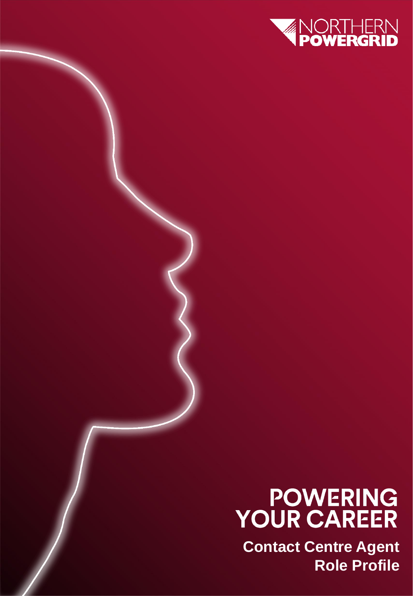

# **POWERING<br>YOUR CAREER**

**Contact Centre Agent Role Profile**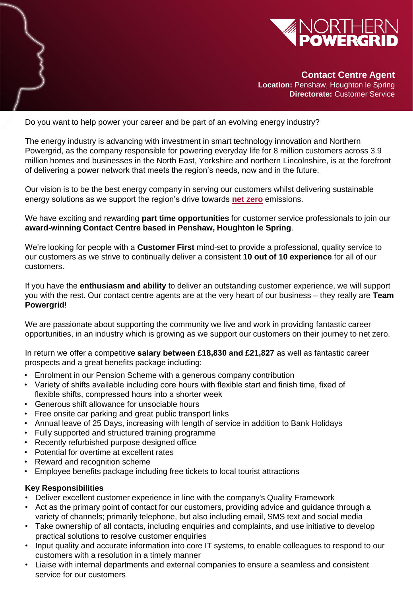

**Contact Centre Agent Location:** Penshaw, Houghton le Spring **Directorate:** Customer Service

Do you want to help power your career and be part of an evolving energy industry?

The energy industry is advancing with investment in smart technology innovation and Northern Powergrid, as the company responsible for powering everyday life for 8 million customers across 3.9 million homes and businesses in the North East, Yorkshire and northern Lincolnshire, is at the forefront of delivering a power network that meets the region's needs, now and in the future.

Our vision is to be the best energy company in serving our customers whilst delivering sustainable energy solutions as we support the region's drive towards **[net zero](https://www.youtube.com/watch?v=IKe8PqM36qs)** emissions.

We have exciting and rewarding **part time opportunities** for customer service professionals to join our **award-winning Contact Centre based in Penshaw, Houghton le Spring**.

We're looking for people with a **Customer First** mind-set to provide a professional, quality service to our customers as we strive to continually deliver a consistent **10 out of 10 experience** for all of our customers.

If you have the **enthusiasm and ability** to deliver an outstanding customer experience, we will support you with the rest. Our contact centre agents are at the very heart of our business – they really are **Team Powergrid**!

We are passionate about supporting the community we live and work in providing fantastic career opportunities, in an industry which is growing as we support our customers on their journey to net zero.

In return we offer a competitive **salary between £18,830 and £21,827** as well as fantastic career prospects and a great benefits package including:

- Enrolment in our Pension Scheme with a generous company contribution
- Variety of shifts available including core hours with flexible start and finish time, fixed of flexible shifts, compressed hours into a shorter week
- Generous shift allowance for unsociable hours
- Free onsite car parking and great public transport links
- Annual leave of 25 Days, increasing with length of service in addition to Bank Holidays
- Fully supported and structured training programme
- Recently refurbished purpose designed office
- Potential for overtime at excellent rates
- Reward and recognition scheme
- Employee benefits package including free tickets to local tourist attractions

#### **Key Responsibilities**

- Deliver excellent customer experience in line with the company's Quality Framework
- Act as the primary point of contact for our customers, providing advice and guidance through a variety of channels; primarily telephone, but also including email, SMS text and social media
- Take ownership of all contacts, including enquiries and complaints, and use initiative to develop practical solutions to resolve customer enquiries
- **Craft Mate** Input quality and accurate information into core IT systems, to enable colleagues to respond to our customers with a resolution in a timely manner
- **Recruitment 2021** Liaise with internal departments and external companies to ensure a seamless and consistent service for our customers